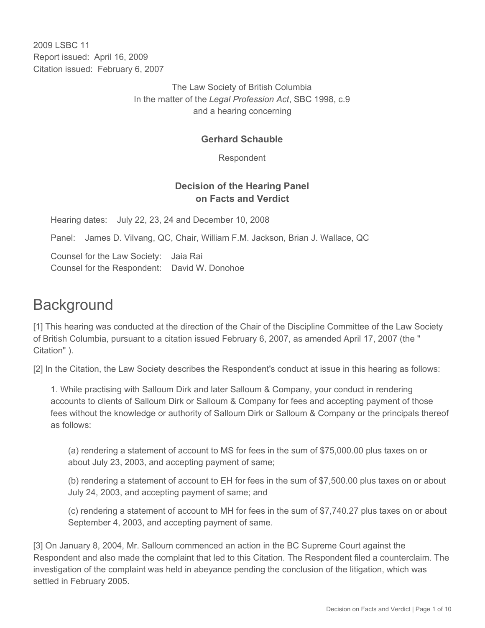2009 LSBC 11 Report issued: April 16, 2009 Citation issued: February 6, 2007

> The Law Society of British Columbia In the matter of the *Legal Profession Act*, SBC 1998, c.9 and a hearing concerning

#### **Gerhard Schauble**

Respondent

### **Decision of the Hearing Panel on Facts and Verdict**

Hearing dates: July 22, 23, 24 and December 10, 2008

Panel: James D. Vilvang, QC, Chair, William F.M. Jackson, Brian J. Wallace, QC

Counsel for the Law Society: Jaia Rai Counsel for the Respondent: David W. Donohoe

# **Background**

[1] This hearing was conducted at the direction of the Chair of the Discipline Committee of the Law Society of British Columbia, pursuant to a citation issued February 6, 2007, as amended April 17, 2007 (the " Citation" ).

[2] In the Citation, the Law Society describes the Respondent's conduct at issue in this hearing as follows:

1. While practising with Salloum Dirk and later Salloum & Company, your conduct in rendering accounts to clients of Salloum Dirk or Salloum & Company for fees and accepting payment of those fees without the knowledge or authority of Salloum Dirk or Salloum & Company or the principals thereof as follows:

(a) rendering a statement of account to MS for fees in the sum of \$75,000.00 plus taxes on or about July 23, 2003, and accepting payment of same;

(b) rendering a statement of account to EH for fees in the sum of \$7,500.00 plus taxes on or about July 24, 2003, and accepting payment of same; and

(c) rendering a statement of account to MH for fees in the sum of \$7,740.27 plus taxes on or about September 4, 2003, and accepting payment of same.

[3] On January 8, 2004, Mr. Salloum commenced an action in the BC Supreme Court against the Respondent and also made the complaint that led to this Citation. The Respondent filed a counterclaim. The investigation of the complaint was held in abeyance pending the conclusion of the litigation, which was settled in February 2005.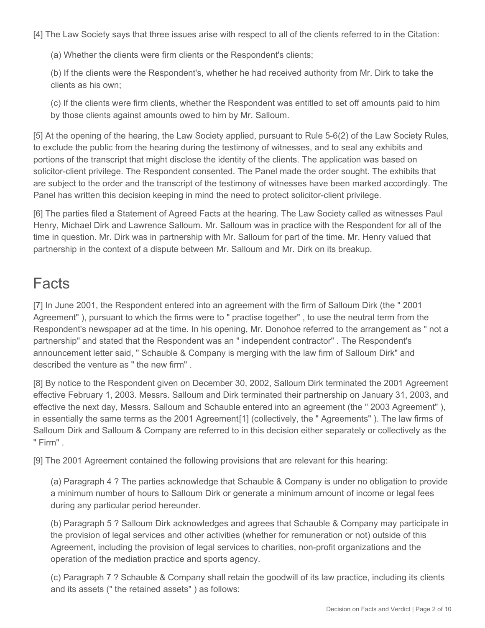[4] The Law Society says that three issues arise with respect to all of the clients referred to in the Citation:

(a) Whether the clients were firm clients or the Respondent's clients;

(b) If the clients were the Respondent's, whether he had received authority from Mr. Dirk to take the clients as his own;

(c) If the clients were firm clients, whether the Respondent was entitled to set off amounts paid to him by those clients against amounts owed to him by Mr. Salloum.

[5] At the opening of the hearing, the Law Society applied, pursuant to Rule 5-6(2) of the Law Society Rules*,*  to exclude the public from the hearing during the testimony of witnesses, and to seal any exhibits and portions of the transcript that might disclose the identity of the clients. The application was based on solicitor-client privilege. The Respondent consented. The Panel made the order sought. The exhibits that are subject to the order and the transcript of the testimony of witnesses have been marked accordingly. The Panel has written this decision keeping in mind the need to protect solicitor-client privilege.

[6] The parties filed a Statement of Agreed Facts at the hearing. The Law Society called as witnesses Paul Henry, Michael Dirk and Lawrence Salloum. Mr. Salloum was in practice with the Respondent for all of the time in question. Mr. Dirk was in partnership with Mr. Salloum for part of the time. Mr. Henry valued that partnership in the context of a dispute between Mr. Salloum and Mr. Dirk on its breakup.

# Facts

[7] In June 2001, the Respondent entered into an agreement with the firm of Salloum Dirk (the " 2001 Agreement" ), pursuant to which the firms were to " practise together" , to use the neutral term from the Respondent's newspaper ad at the time. In his opening, Mr. Donohoe referred to the arrangement as " not a partnership" and stated that the Respondent was an " independent contractor" . The Respondent's announcement letter said, " Schauble & Company is merging with the law firm of Salloum Dirk" and described the venture as " the new firm" .

[8] By notice to the Respondent given on December 30, 2002, Salloum Dirk terminated the 2001 Agreement effective February 1, 2003. Messrs. Salloum and Dirk terminated their partnership on January 31, 2003, and effective the next day, Messrs. Salloum and Schauble entered into an agreement (the " 2003 Agreement" ), in essentially the same terms as the 2001 Agreement[1] (collectively, the " Agreements" ). The law firms of Salloum Dirk and Salloum & Company are referred to in this decision either separately or collectively as the " Firm" .

[9] The 2001 Agreement contained the following provisions that are relevant for this hearing:

(a) Paragraph 4 ? The parties acknowledge that Schauble & Company is under no obligation to provide a minimum number of hours to Salloum Dirk or generate a minimum amount of income or legal fees during any particular period hereunder.

(b) Paragraph 5 ? Salloum Dirk acknowledges and agrees that Schauble & Company may participate in the provision of legal services and other activities (whether for remuneration or not) outside of this Agreement, including the provision of legal services to charities, non-profit organizations and the operation of the mediation practice and sports agency.

(c) Paragraph 7 ? Schauble & Company shall retain the goodwill of its law practice, including its clients and its assets (" the retained assets" ) as follows: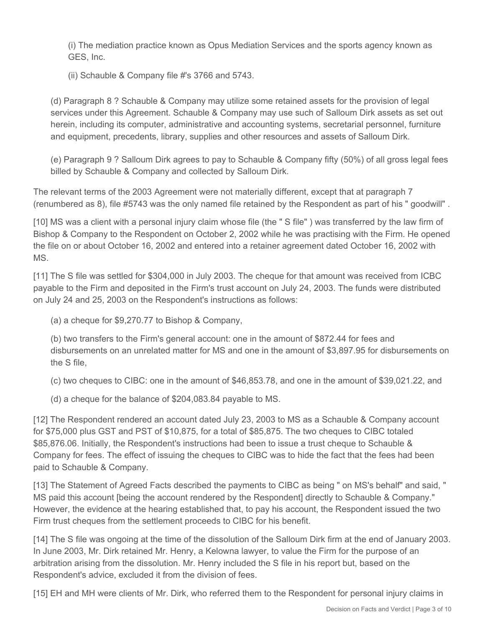(i) The mediation practice known as Opus Mediation Services and the sports agency known as GES, Inc.

(ii) Schauble & Company file #'s 3766 and 5743.

(d) Paragraph 8 ? Schauble & Company may utilize some retained assets for the provision of legal services under this Agreement. Schauble & Company may use such of Salloum Dirk assets as set out herein, including its computer, administrative and accounting systems, secretarial personnel, furniture and equipment, precedents, library, supplies and other resources and assets of Salloum Dirk.

(e) Paragraph 9 ? Salloum Dirk agrees to pay to Schauble & Company fifty (50%) of all gross legal fees billed by Schauble & Company and collected by Salloum Dirk.

The relevant terms of the 2003 Agreement were not materially different, except that at paragraph 7 (renumbered as 8), file #5743 was the only named file retained by the Respondent as part of his " goodwill" .

[10] MS was a client with a personal injury claim whose file (the " S file" ) was transferred by the law firm of Bishop & Company to the Respondent on October 2, 2002 while he was practising with the Firm. He opened the file on or about October 16, 2002 and entered into a retainer agreement dated October 16, 2002 with MS.

[11] The S file was settled for \$304,000 in July 2003. The cheque for that amount was received from ICBC payable to the Firm and deposited in the Firm's trust account on July 24, 2003. The funds were distributed on July 24 and 25, 2003 on the Respondent's instructions as follows:

(a) a cheque for \$9,270.77 to Bishop & Company,

(b) two transfers to the Firm's general account: one in the amount of \$872.44 for fees and disbursements on an unrelated matter for MS and one in the amount of \$3,897.95 for disbursements on the S file,

(c) two cheques to CIBC: one in the amount of \$46,853.78, and one in the amount of \$39,021.22, and

(d) a cheque for the balance of \$204,083.84 payable to MS.

[12] The Respondent rendered an account dated July 23, 2003 to MS as a Schauble & Company account for \$75,000 plus GST and PST of \$10,875, for a total of \$85,875. The two cheques to CIBC totaled \$85,876.06. Initially, the Respondent's instructions had been to issue a trust cheque to Schauble & Company for fees. The effect of issuing the cheques to CIBC was to hide the fact that the fees had been paid to Schauble & Company.

[13] The Statement of Agreed Facts described the payments to CIBC as being " on MS's behalf" and said, " MS paid this account [being the account rendered by the Respondent] directly to Schauble & Company." However, the evidence at the hearing established that, to pay his account, the Respondent issued the two Firm trust cheques from the settlement proceeds to CIBC for his benefit.

[14] The S file was ongoing at the time of the dissolution of the Salloum Dirk firm at the end of January 2003. In June 2003, Mr. Dirk retained Mr. Henry, a Kelowna lawyer, to value the Firm for the purpose of an arbitration arising from the dissolution. Mr. Henry included the S file in his report but, based on the Respondent's advice, excluded it from the division of fees.

[15] EH and MH were clients of Mr. Dirk, who referred them to the Respondent for personal injury claims in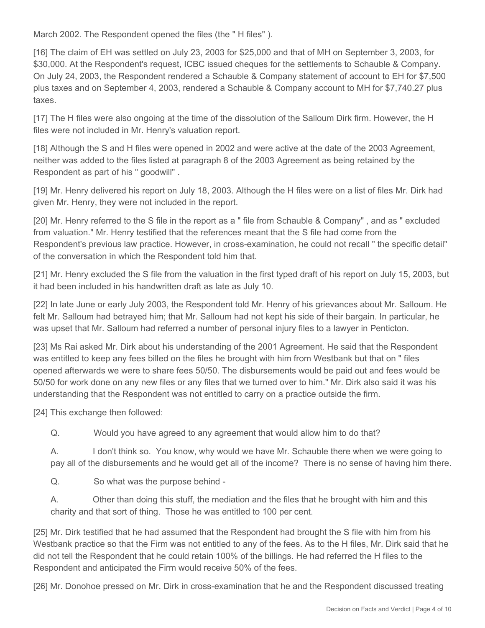March 2002. The Respondent opened the files (the " H files" ).

[16] The claim of EH was settled on July 23, 2003 for \$25,000 and that of MH on September 3, 2003, for \$30,000. At the Respondent's request, ICBC issued cheques for the settlements to Schauble & Company. On July 24, 2003, the Respondent rendered a Schauble & Company statement of account to EH for \$7,500 plus taxes and on September 4, 2003, rendered a Schauble & Company account to MH for \$7,740.27 plus taxes.

[17] The H files were also ongoing at the time of the dissolution of the Salloum Dirk firm. However, the H files were not included in Mr. Henry's valuation report.

[18] Although the S and H files were opened in 2002 and were active at the date of the 2003 Agreement, neither was added to the files listed at paragraph 8 of the 2003 Agreement as being retained by the Respondent as part of his " goodwill" .

[19] Mr. Henry delivered his report on July 18, 2003. Although the H files were on a list of files Mr. Dirk had given Mr. Henry, they were not included in the report.

[20] Mr. Henry referred to the S file in the report as a " file from Schauble & Company" , and as " excluded from valuation." Mr. Henry testified that the references meant that the S file had come from the Respondent's previous law practice. However, in cross-examination, he could not recall " the specific detail" of the conversation in which the Respondent told him that.

[21] Mr. Henry excluded the S file from the valuation in the first typed draft of his report on July 15, 2003, but it had been included in his handwritten draft as late as July 10.

[22] In late June or early July 2003, the Respondent told Mr. Henry of his grievances about Mr. Salloum. He felt Mr. Salloum had betrayed him; that Mr. Salloum had not kept his side of their bargain. In particular, he was upset that Mr. Salloum had referred a number of personal injury files to a lawyer in Penticton.

[23] Ms Rai asked Mr. Dirk about his understanding of the 2001 Agreement. He said that the Respondent was entitled to keep any fees billed on the files he brought with him from Westbank but that on " files opened afterwards we were to share fees 50/50. The disbursements would be paid out and fees would be 50/50 for work done on any new files or any files that we turned over to him." Mr. Dirk also said it was his understanding that the Respondent was not entitled to carry on a practice outside the firm.

[24] This exchange then followed:

Q. Would you have agreed to any agreement that would allow him to do that?

A. I don't think so. You know, why would we have Mr. Schauble there when we were going to pay all of the disbursements and he would get all of the income? There is no sense of having him there.

Q. So what was the purpose behind -

A. Other than doing this stuff, the mediation and the files that he brought with him and this charity and that sort of thing. Those he was entitled to 100 per cent.

[25] Mr. Dirk testified that he had assumed that the Respondent had brought the S file with him from his Westbank practice so that the Firm was not entitled to any of the fees. As to the H files, Mr. Dirk said that he did not tell the Respondent that he could retain 100% of the billings. He had referred the H files to the Respondent and anticipated the Firm would receive 50% of the fees.

[26] Mr. Donohoe pressed on Mr. Dirk in cross-examination that he and the Respondent discussed treating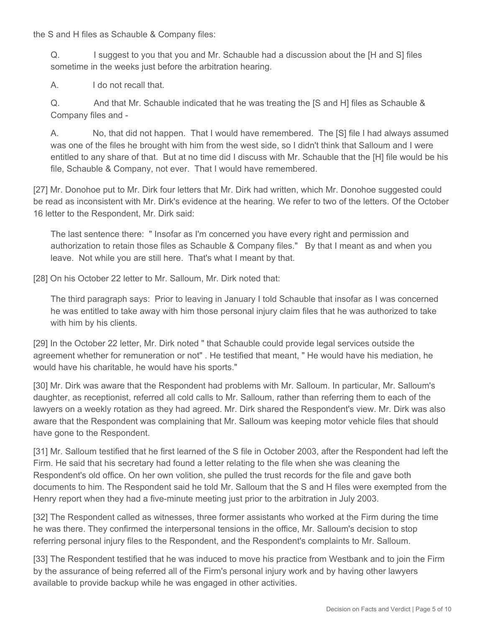the S and H files as Schauble & Company files:

Q. I suggest to you that you and Mr. Schauble had a discussion about the [H and S] files sometime in the weeks just before the arbitration hearing.

A. I do not recall that.

Q. And that Mr. Schauble indicated that he was treating the [S and H] files as Schauble & Company files and -

A. No, that did not happen. That I would have remembered. The [S] file I had always assumed was one of the files he brought with him from the west side, so I didn't think that Salloum and I were entitled to any share of that. But at no time did I discuss with Mr. Schauble that the [H] file would be his file, Schauble & Company, not ever. That I would have remembered.

[27] Mr. Donohoe put to Mr. Dirk four letters that Mr. Dirk had written, which Mr. Donohoe suggested could be read as inconsistent with Mr. Dirk's evidence at the hearing. We refer to two of the letters. Of the October 16 letter to the Respondent, Mr. Dirk said:

The last sentence there: " Insofar as I'm concerned you have every right and permission and authorization to retain those files as Schauble & Company files." By that I meant as and when you leave. Not while you are still here. That's what I meant by that.

[28] On his October 22 letter to Mr. Salloum, Mr. Dirk noted that:

The third paragraph says: Prior to leaving in January I told Schauble that insofar as I was concerned he was entitled to take away with him those personal injury claim files that he was authorized to take with him by his clients.

[29] In the October 22 letter, Mr. Dirk noted " that Schauble could provide legal services outside the agreement whether for remuneration or not" . He testified that meant, " He would have his mediation, he would have his charitable, he would have his sports."

[30] Mr. Dirk was aware that the Respondent had problems with Mr. Salloum. In particular, Mr. Salloum's daughter, as receptionist, referred all cold calls to Mr. Salloum, rather than referring them to each of the lawyers on a weekly rotation as they had agreed. Mr. Dirk shared the Respondent's view. Mr. Dirk was also aware that the Respondent was complaining that Mr. Salloum was keeping motor vehicle files that should have gone to the Respondent.

[31] Mr. Salloum testified that he first learned of the S file in October 2003, after the Respondent had left the Firm. He said that his secretary had found a letter relating to the file when she was cleaning the Respondent's old office. On her own volition, she pulled the trust records for the file and gave both documents to him. The Respondent said he told Mr. Salloum that the S and H files were exempted from the Henry report when they had a five-minute meeting just prior to the arbitration in July 2003.

[32] The Respondent called as witnesses, three former assistants who worked at the Firm during the time he was there. They confirmed the interpersonal tensions in the office, Mr. Salloum's decision to stop referring personal injury files to the Respondent, and the Respondent's complaints to Mr. Salloum.

[33] The Respondent testified that he was induced to move his practice from Westbank and to join the Firm by the assurance of being referred all of the Firm's personal injury work and by having other lawyers available to provide backup while he was engaged in other activities.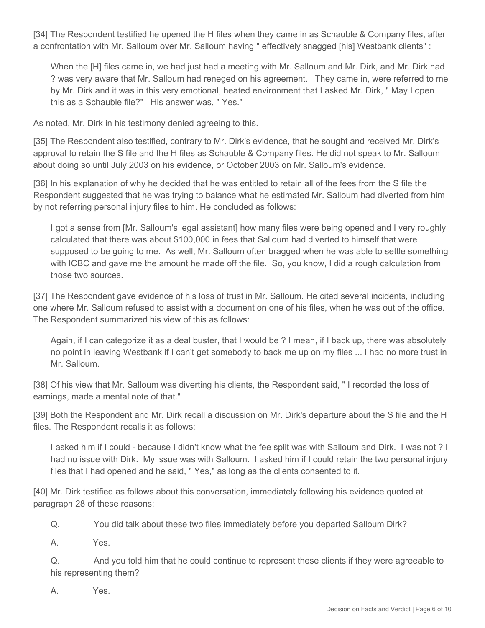[34] The Respondent testified he opened the H files when they came in as Schauble & Company files, after a confrontation with Mr. Salloum over Mr. Salloum having " effectively snagged [his] Westbank clients" :

When the [H] files came in, we had just had a meeting with Mr. Salloum and Mr. Dirk, and Mr. Dirk had ? was very aware that Mr. Salloum had reneged on his agreement. They came in, were referred to me by Mr. Dirk and it was in this very emotional, heated environment that I asked Mr. Dirk, " May I open this as a Schauble file?" His answer was, " Yes."

As noted, Mr. Dirk in his testimony denied agreeing to this.

[35] The Respondent also testified, contrary to Mr. Dirk's evidence, that he sought and received Mr. Dirk's approval to retain the S file and the H files as Schauble & Company files. He did not speak to Mr. Salloum about doing so until July 2003 on his evidence, or October 2003 on Mr. Salloum's evidence.

[36] In his explanation of why he decided that he was entitled to retain all of the fees from the S file the Respondent suggested that he was trying to balance what he estimated Mr. Salloum had diverted from him by not referring personal injury files to him. He concluded as follows:

I got a sense from [Mr. Salloum's legal assistant] how many files were being opened and I very roughly calculated that there was about \$100,000 in fees that Salloum had diverted to himself that were supposed to be going to me. As well, Mr. Salloum often bragged when he was able to settle something with ICBC and gave me the amount he made off the file. So, you know, I did a rough calculation from those two sources.

[37] The Respondent gave evidence of his loss of trust in Mr. Salloum. He cited several incidents, including one where Mr. Salloum refused to assist with a document on one of his files, when he was out of the office. The Respondent summarized his view of this as follows:

Again, if I can categorize it as a deal buster, that I would be ? I mean, if I back up, there was absolutely no point in leaving Westbank if I can't get somebody to back me up on my files ... I had no more trust in Mr. Salloum.

[38] Of his view that Mr. Salloum was diverting his clients, the Respondent said, " I recorded the loss of earnings, made a mental note of that."

[39] Both the Respondent and Mr. Dirk recall a discussion on Mr. Dirk's departure about the S file and the H files. The Respondent recalls it as follows:

I asked him if I could - because I didn't know what the fee split was with Salloum and Dirk. I was not ? I had no issue with Dirk. My issue was with Salloum. I asked him if I could retain the two personal injury files that I had opened and he said, " Yes," as long as the clients consented to it.

[40] Mr. Dirk testified as follows about this conversation, immediately following his evidence quoted at paragraph 28 of these reasons:

Q. You did talk about these two files immediately before you departed Salloum Dirk?

A. Yes.

Q. And you told him that he could continue to represent these clients if they were agreeable to his representing them?

A. Yes.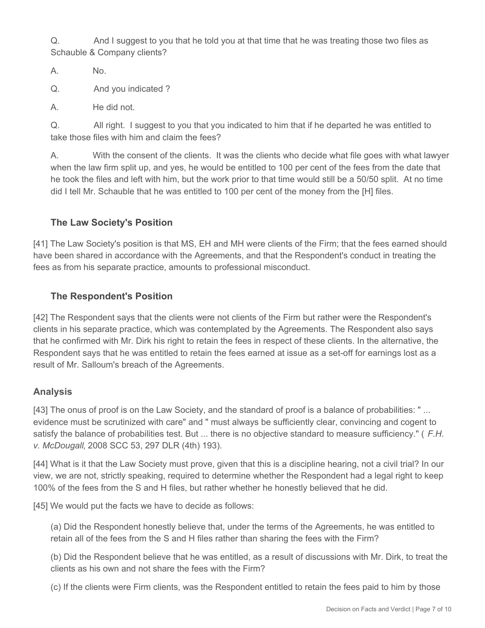Q. And I suggest to you that he told you at that time that he was treating those two files as Schauble & Company clients?

A. No.

Q. And you indicated ?

A. He did not.

Q. All right. I suggest to you that you indicated to him that if he departed he was entitled to take those files with him and claim the fees?

A. With the consent of the clients. It was the clients who decide what file goes with what lawyer when the law firm split up, and yes, he would be entitled to 100 per cent of the fees from the date that he took the files and left with him, but the work prior to that time would still be a 50/50 split. At no time did I tell Mr. Schauble that he was entitled to 100 per cent of the money from the [H] files.

## **The Law Society's Position**

[41] The Law Society's position is that MS, EH and MH were clients of the Firm; that the fees earned should have been shared in accordance with the Agreements, and that the Respondent's conduct in treating the fees as from his separate practice, amounts to professional misconduct.

## **The Respondent's Position**

[42] The Respondent says that the clients were not clients of the Firm but rather were the Respondent's clients in his separate practice, which was contemplated by the Agreements. The Respondent also says that he confirmed with Mr. Dirk his right to retain the fees in respect of these clients. In the alternative, the Respondent says that he was entitled to retain the fees earned at issue as a set-off for earnings lost as a result of Mr. Salloum's breach of the Agreements.

## **Analysis**

[43] The onus of proof is on the Law Society, and the standard of proof is a balance of probabilities: " ... evidence must be scrutinized with care" and " must always be sufficiently clear, convincing and cogent to satisfy the balance of probabilities test. But ... there is no objective standard to measure sufficiency." ( *F.H. v. McDougall*, 2008 SCC 53, 297 DLR (4th) 193).

[44] What is it that the Law Society must prove, given that this is a discipline hearing, not a civil trial? In our view, we are not, strictly speaking, required to determine whether the Respondent had a legal right to keep 100% of the fees from the S and H files, but rather whether he honestly believed that he did.

[45] We would put the facts we have to decide as follows:

(a) Did the Respondent honestly believe that, under the terms of the Agreements, he was entitled to retain all of the fees from the S and H files rather than sharing the fees with the Firm?

(b) Did the Respondent believe that he was entitled, as a result of discussions with Mr. Dirk, to treat the clients as his own and not share the fees with the Firm?

(c) If the clients were Firm clients, was the Respondent entitled to retain the fees paid to him by those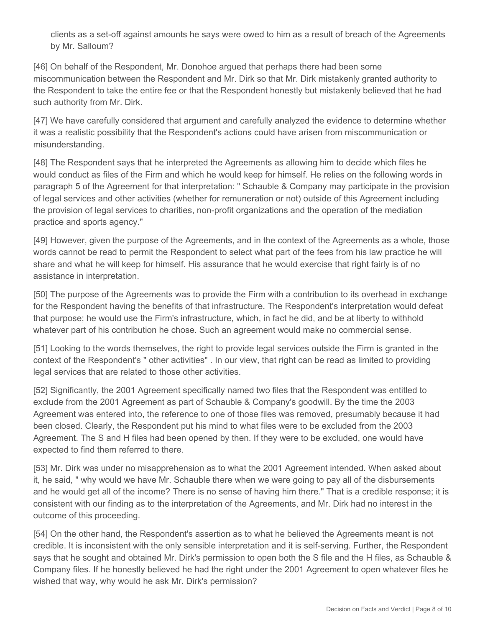clients as a set-off against amounts he says were owed to him as a result of breach of the Agreements by Mr. Salloum?

[46] On behalf of the Respondent, Mr. Donohoe argued that perhaps there had been some miscommunication between the Respondent and Mr. Dirk so that Mr. Dirk mistakenly granted authority to the Respondent to take the entire fee or that the Respondent honestly but mistakenly believed that he had such authority from Mr. Dirk.

[47] We have carefully considered that argument and carefully analyzed the evidence to determine whether it was a realistic possibility that the Respondent's actions could have arisen from miscommunication or misunderstanding.

[48] The Respondent says that he interpreted the Agreements as allowing him to decide which files he would conduct as files of the Firm and which he would keep for himself. He relies on the following words in paragraph 5 of the Agreement for that interpretation: " Schauble & Company may participate in the provision of legal services and other activities (whether for remuneration or not) outside of this Agreement including the provision of legal services to charities, non-profit organizations and the operation of the mediation practice and sports agency."

[49] However, given the purpose of the Agreements, and in the context of the Agreements as a whole, those words cannot be read to permit the Respondent to select what part of the fees from his law practice he will share and what he will keep for himself. His assurance that he would exercise that right fairly is of no assistance in interpretation.

[50] The purpose of the Agreements was to provide the Firm with a contribution to its overhead in exchange for the Respondent having the benefits of that infrastructure. The Respondent's interpretation would defeat that purpose; he would use the Firm's infrastructure, which, in fact he did, and be at liberty to withhold whatever part of his contribution he chose. Such an agreement would make no commercial sense.

[51] Looking to the words themselves, the right to provide legal services outside the Firm is granted in the context of the Respondent's " other activities" . In our view, that right can be read as limited to providing legal services that are related to those other activities.

[52] Significantly, the 2001 Agreement specifically named two files that the Respondent was entitled to exclude from the 2001 Agreement as part of Schauble & Company's goodwill. By the time the 2003 Agreement was entered into, the reference to one of those files was removed, presumably because it had been closed. Clearly, the Respondent put his mind to what files were to be excluded from the 2003 Agreement. The S and H files had been opened by then. If they were to be excluded, one would have expected to find them referred to there.

[53] Mr. Dirk was under no misapprehension as to what the 2001 Agreement intended. When asked about it, he said, " why would we have Mr. Schauble there when we were going to pay all of the disbursements and he would get all of the income? There is no sense of having him there." That is a credible response; it is consistent with our finding as to the interpretation of the Agreements, and Mr. Dirk had no interest in the outcome of this proceeding.

[54] On the other hand, the Respondent's assertion as to what he believed the Agreements meant is not credible. It is inconsistent with the only sensible interpretation and it is self-serving. Further, the Respondent says that he sought and obtained Mr. Dirk's permission to open both the S file and the H files, as Schauble & Company files. If he honestly believed he had the right under the 2001 Agreement to open whatever files he wished that way, why would he ask Mr. Dirk's permission?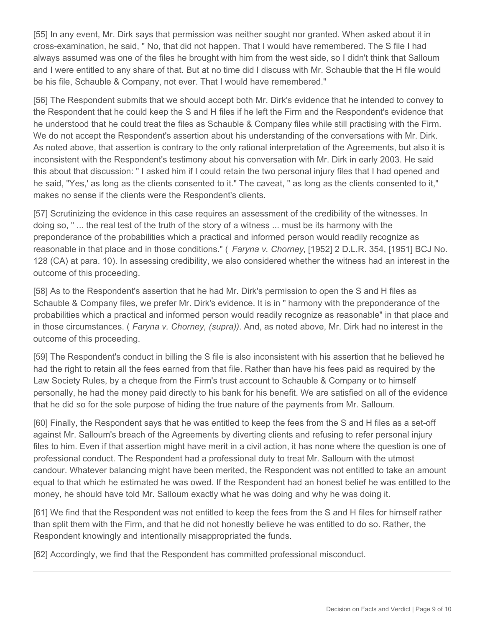[55] In any event, Mr. Dirk says that permission was neither sought nor granted. When asked about it in cross-examination, he said, " No, that did not happen. That I would have remembered. The S file I had always assumed was one of the files he brought with him from the west side, so I didn't think that Salloum and I were entitled to any share of that. But at no time did I discuss with Mr. Schauble that the H file would be his file, Schauble & Company, not ever. That I would have remembered."

[56] The Respondent submits that we should accept both Mr. Dirk's evidence that he intended to convey to the Respondent that he could keep the S and H files if he left the Firm and the Respondent's evidence that he understood that he could treat the files as Schauble & Company files while still practising with the Firm. We do not accept the Respondent's assertion about his understanding of the conversations with Mr. Dirk. As noted above, that assertion is contrary to the only rational interpretation of the Agreements, but also it is inconsistent with the Respondent's testimony about his conversation with Mr. Dirk in early 2003. He said this about that discussion: " I asked him if I could retain the two personal injury files that I had opened and he said, "Yes,' as long as the clients consented to it." The caveat, " as long as the clients consented to it," makes no sense if the clients were the Respondent's clients.

[57] Scrutinizing the evidence in this case requires an assessment of the credibility of the witnesses. In doing so, " ... the real test of the truth of the story of a witness ... must be its harmony with the preponderance of the probabilities which a practical and informed person would readily recognize as reasonable in that place and in those conditions." ( *Faryna v. Chorney*, [1952] 2 D.L.R. 354, [1951] BCJ No. 128 (CA) at para. 10). In assessing credibility, we also considered whether the witness had an interest in the outcome of this proceeding.

[58] As to the Respondent's assertion that he had Mr. Dirk's permission to open the S and H files as Schauble & Company files, we prefer Mr. Dirk's evidence. It is in " harmony with the preponderance of the probabilities which a practical and informed person would readily recognize as reasonable" in that place and in those circumstances. ( *Faryna v. Chorney, (supra))*. And, as noted above, Mr. Dirk had no interest in the outcome of this proceeding.

[59] The Respondent's conduct in billing the S file is also inconsistent with his assertion that he believed he had the right to retain all the fees earned from that file. Rather than have his fees paid as required by the Law Society Rules, by a cheque from the Firm's trust account to Schauble & Company or to himself personally, he had the money paid directly to his bank for his benefit. We are satisfied on all of the evidence that he did so for the sole purpose of hiding the true nature of the payments from Mr. Salloum.

[60] Finally, the Respondent says that he was entitled to keep the fees from the S and H files as a set-off against Mr. Salloum's breach of the Agreements by diverting clients and refusing to refer personal injury files to him. Even if that assertion might have merit in a civil action, it has none where the question is one of professional conduct. The Respondent had a professional duty to treat Mr. Salloum with the utmost candour. Whatever balancing might have been merited, the Respondent was not entitled to take an amount equal to that which he estimated he was owed. If the Respondent had an honest belief he was entitled to the money, he should have told Mr. Salloum exactly what he was doing and why he was doing it.

[61] We find that the Respondent was not entitled to keep the fees from the S and H files for himself rather than split them with the Firm, and that he did not honestly believe he was entitled to do so. Rather, the Respondent knowingly and intentionally misappropriated the funds.

[62] Accordingly, we find that the Respondent has committed professional misconduct.